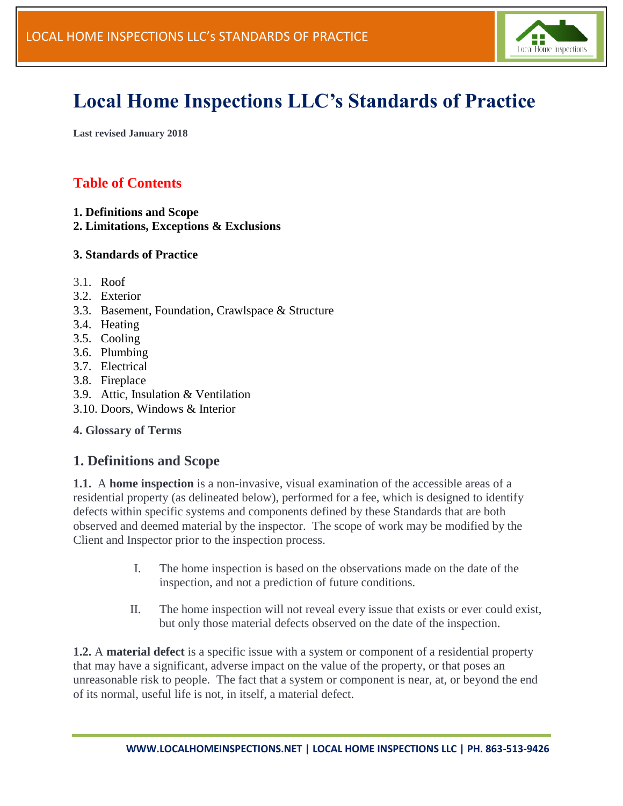

# **Local Home Inspections LLC's Standards of Practice**

**Last revised January 2018**

# **Table of Contents**

- **1. Definitions and Scope**
- **2. Limitations, Exceptions & Exclusions**

#### **3. Standards of Practice**

- 3.1. [Roof](https://www.nachi.org/sop.htm#roof)
- 3.2. [Exterior](https://www.nachi.org/sop.htm#exterior)
- 3.3. [Basement, Foundation, Crawlspace & Structure](https://www.nachi.org/sop.htm#basement)
- 3.4. [Heating](https://www.nachi.org/sop.htm#heating)
- 3.5. [Cooling](https://www.nachi.org/sop.htm#cooling)
- 3.6. [Plumbing](https://www.nachi.org/sop.htm#plumbing)
- 3.7. [Electrical](https://www.nachi.org/sop.htm#electrical)
- 3.8. [Fireplace](https://www.nachi.org/sop.htm#fireplace)
- 3.9. [Attic, Insulation & Ventilation](https://www.nachi.org/sop.htm#attic)
- 3.10. [Doors, Windows & Interior](https://www.nachi.org/sop.htm#doors)

#### **4. Glossary of Terms**

## **1. Definitions and Scope**

**1.1.** A **home inspection** is a non-invasive, visual examination of the accessible areas of a residential property (as delineated below), performed for a fee, which is designed to identify defects within specific systems and components defined by these Standards that are both observed and deemed material by the inspector. The scope of work may be modified by the Client and Inspector prior to the inspection process.

- I. The home inspection is based on the observations made on the date of the inspection, and not a prediction of future conditions.
- II. The home inspection will not reveal every issue that exists or ever could exist, but only those material defects observed on the date of the inspection.

**1.2.** A **material defect** is a specific issue with a system or component of a residential property that may have a significant, adverse impact on the value of the property, or that poses an unreasonable risk to people. The fact that a system or component is near, at, or beyond the end of its normal, useful life is not, in itself, a material defect.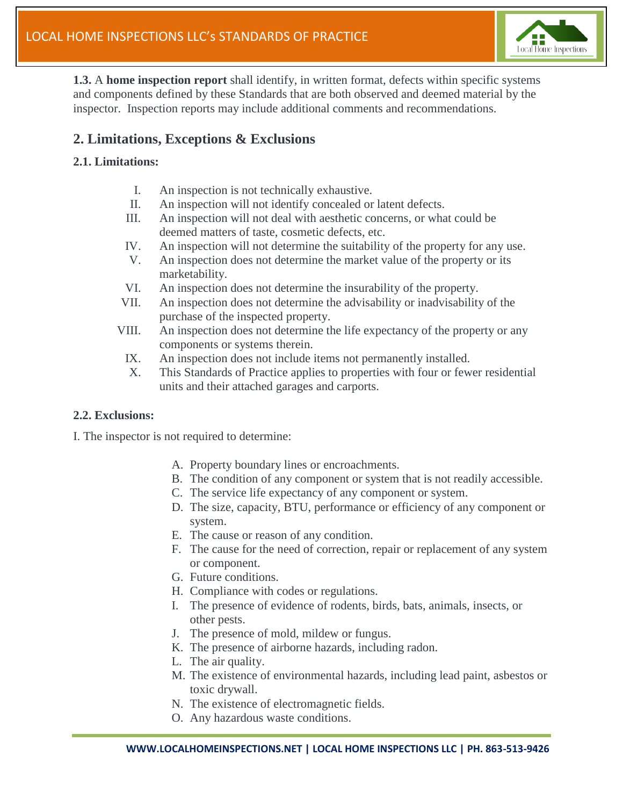

**1.3.** A **home inspection report** shall identify, in written format, defects within specific systems and components defined by these Standards that are both observed and deemed material by the inspector. Inspection reports may include additional comments and recommendations.

## **2. Limitations, Exceptions & Exclusions**

#### **2.1. Limitations:**

- I. An inspection is not technically exhaustive.
- II. An inspection will not identify concealed or latent defects.
- III. An inspection will not deal with aesthetic concerns, or what could be deemed matters of taste, cosmetic defects, etc.
- IV. An inspection will not determine the suitability of the property for any use.
- V. An inspection does not determine the market value of the property or its marketability.
- VI. An inspection does not determine the insurability of the property.
- VII. An inspection does not determine the advisability or inadvisability of the purchase of the inspected property.
- VIII. An inspection does not determine the life expectancy of the property or any components or systems therein.
	- IX. An inspection does not include items not permanently installed.
	- X. This Standards of Practice applies to properties with four or fewer residential units and their attached garages and carports.

#### **2.2. Exclusions:**

I. The inspector is not required to determine:

- A. Property boundary lines or encroachments.
- B. The condition of any component or system that is not readily accessible.
- C. The service life expectancy of any component or system.
- D. The size, capacity, BTU, performance or efficiency of any component or system.
- E. The cause or reason of any condition.
- F. The cause for the need of correction, repair or replacement of any system or component.
- G. Future conditions.
- H. Compliance with codes or regulations.
- I. The presence of evidence of rodents, birds, bats, animals, insects, or other pests.
- J. The presence of mold, mildew or fungus.
- K. The presence of airborne hazards, including radon.
- L. The air quality.
- M. The existence of environmental hazards, including lead paint, asbestos or toxic drywall.
- N. The existence of electromagnetic fields.
- O. Any hazardous waste conditions.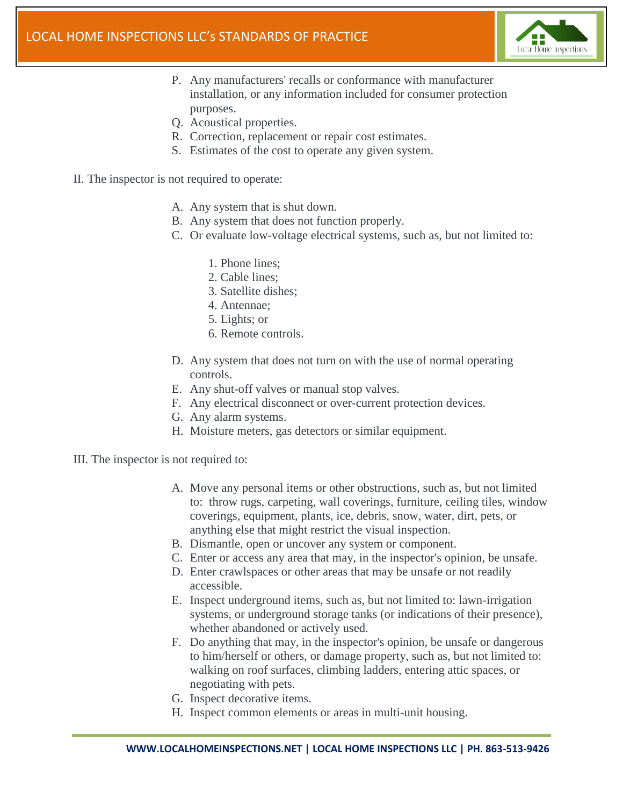

- P. Any manufacturers' recalls or conformance with manufacturer installation, or any information included for consumer protection purposes.
- Q. Acoustical properties.
- R. Correction, replacement or repair cost estimates.
- S. Estimates of the cost to operate any given system.
- II. The inspector is not required to operate:
	- A. Any system that is shut down.
	- B. Any system that does not function properly.
	- C. Or evaluate low-voltage electrical systems, such as, but not limited to:
		- 1. Phone lines;
		- 2. Cable lines;
		- 3. Satellite dishes;
		- 4. Antennae;
		- 5. Lights; or
		- 6. Remote controls.
	- D. Any system that does not turn on with the use of normal operating controls.
	- E. Any shut-off valves or manual stop valves.
	- F. Any electrical disconnect or over-current protection devices.
	- G. Any alarm systems.
	- H. Moisture meters, gas detectors or similar equipment.
- III. The inspector is not required to:
	- A. Move any personal items or other obstructions, such as, but not limited to: throw rugs, carpeting, wall coverings, furniture, ceiling tiles, window coverings, equipment, plants, ice, debris, snow, water, dirt, pets, or anything else that might restrict the visual inspection.
	- B. Dismantle, open or uncover any system or component.
	- C. Enter or access any area that may, in the inspector's opinion, be unsafe.
	- D. Enter crawlspaces or other areas that may be unsafe or not readily accessible.
	- E. Inspect underground items, such as, but not limited to: lawn-irrigation systems, or underground storage tanks (or indications of their presence), whether abandoned or actively used.
	- F. Do anything that may, in the inspector's opinion, be unsafe or dangerous to him/herself or others, or damage property, such as, but not limited to: walking on roof surfaces, climbing ladders, entering attic spaces, or negotiating with pets.
	- G. Inspect decorative items.
	- H. Inspect common elements or areas in multi-unit housing.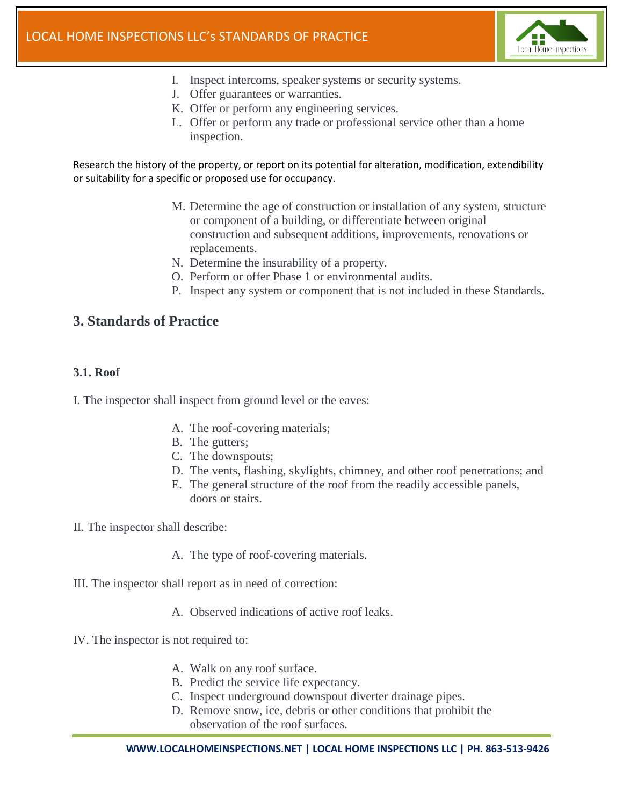

- I. Inspect intercoms, speaker systems or security systems.
- J. Offer guarantees or warranties.
- K. Offer or perform any engineering services.
- L. Offer or perform any trade or professional service other than a home inspection.

Research the history of the property, or report on its potential for alteration, modification, extendibility or suitability for a specific or proposed use for occupancy.

- M. Determine the age of construction or installation of any system, structure or component of a building, or differentiate between original construction and subsequent additions, improvements, renovations or replacements.
- N. Determine the insurability of a property.
- O. Perform or offer Phase 1 or environmental audits.
- P. Inspect any system or component that is not included in these Standards.

### **3. Standards of Practice**

#### **3.1. Roof**

I. The inspector shall inspect from ground level or the eaves:

- A. The roof-covering materials;
- B. The gutters;
- C. The downspouts;
- D. The vents, flashing, skylights, chimney, and other roof penetrations; and
- E. The general structure of the roof from the readily accessible panels, doors or stairs.

II. The inspector shall describe:

- A. The type of roof-covering materials.
- III. The inspector shall report as in need of correction:
	- A. Observed indications of active roof leaks.
- IV. The inspector is not required to:
	- A. Walk on any roof surface.
	- B. Predict the service life expectancy.
	- C. Inspect underground downspout diverter drainage pipes.
	- D. Remove snow, ice, debris or other conditions that prohibit the observation of the roof surfaces.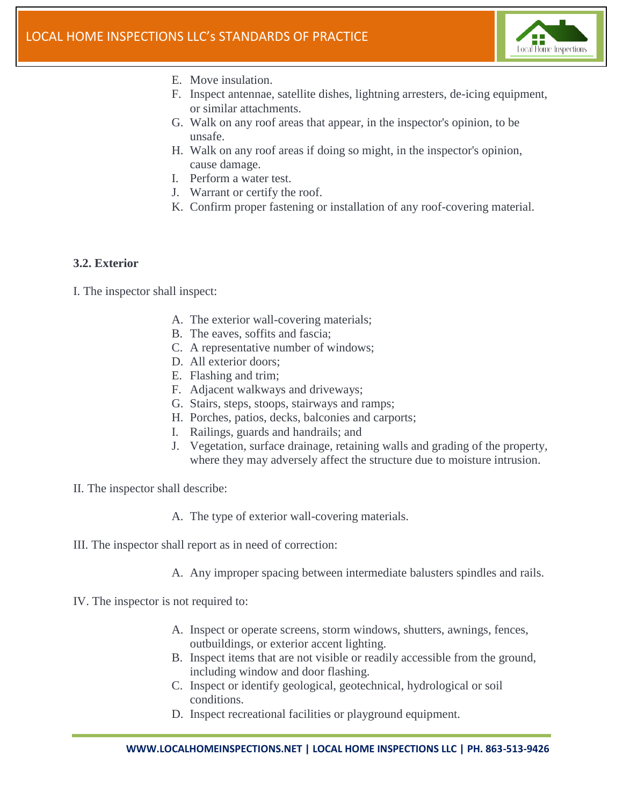

- E. Move insulation.
- F. Inspect antennae, satellite dishes, lightning arresters, de-icing equipment, or similar attachments.
- G. Walk on any roof areas that appear, in the inspector's opinion, to be unsafe.
- H. Walk on any roof areas if doing so might, in the inspector's opinion, cause damage.
- I. Perform a water test.
- J. Warrant or certify the roof.
- K. Confirm proper fastening or installation of any roof-covering material.

#### **3.2. Exterior**

- A. The exterior wall-covering materials;
- B. The eaves, soffits and fascia;
- C. A representative number of windows;
- D. All exterior doors;
- E. Flashing and trim;
- F. Adjacent walkways and driveways;
- G. Stairs, steps, stoops, stairways and ramps;
- H. Porches, patios, decks, balconies and carports;
- I. Railings, guards and handrails; and
- J. Vegetation, surface drainage, retaining walls and grading of the property, where they may adversely affect the structure due to moisture intrusion.
- II. The inspector shall describe:
	- A. The type of exterior wall-covering materials.
- III. The inspector shall report as in need of correction:
	- A. Any improper spacing between intermediate balusters spindles and rails.
- IV. The inspector is not required to:
	- A. Inspect or operate screens, storm windows, shutters, awnings, fences, outbuildings, or exterior accent lighting.
	- B. Inspect items that are not visible or readily accessible from the ground, including window and door flashing.
	- C. Inspect or identify geological, geotechnical, hydrological or soil conditions.
	- D. Inspect recreational facilities or playground equipment.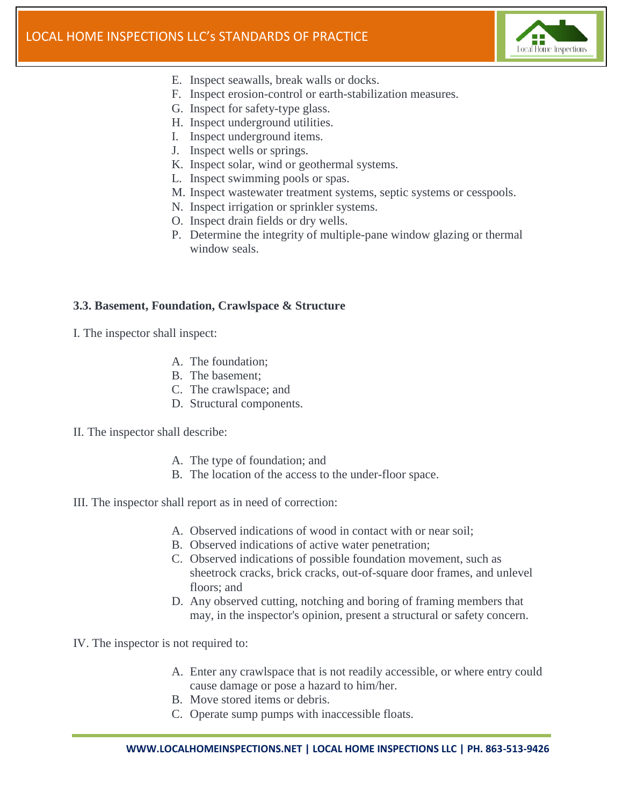

- E. Inspect seawalls, break walls or docks.
- F. Inspect erosion-control or earth-stabilization measures.
- G. Inspect for safety-type glass.
- H. Inspect underground utilities.
- I. Inspect underground items.
- J. Inspect wells or springs.
- K. Inspect solar, wind or geothermal systems.
- L. Inspect swimming pools or spas.
- M. Inspect wastewater treatment systems, septic systems or cesspools.
- N. Inspect irrigation or sprinkler systems.
- O. Inspect drain fields or dry wells.
- P. Determine the integrity of multiple-pane window glazing or thermal window seals.

#### **3.3. Basement, Foundation, Crawlspace & Structure**

- I. The inspector shall inspect:
	- A. The foundation;
	- B. The basement;
	- C. The crawlspace; and
	- D. Structural components.
- II. The inspector shall describe:
	- A. The type of foundation; and
	- B. The location of the access to the under-floor space.
- III. The inspector shall report as in need of correction:
	- A. Observed indications of wood in contact with or near soil;
	- B. Observed indications of active water penetration;
	- C. Observed indications of possible foundation movement, such as sheetrock cracks, brick cracks, out-of-square door frames, and unlevel floors; and
	- D. Any observed cutting, notching and boring of framing members that may, in the inspector's opinion, present a structural or safety concern.
- IV. The inspector is not required to:
	- A. Enter any crawlspace that is not readily accessible, or where entry could cause damage or pose a hazard to him/her.
	- B. Move stored items or debris.
	- C. Operate sump pumps with inaccessible floats.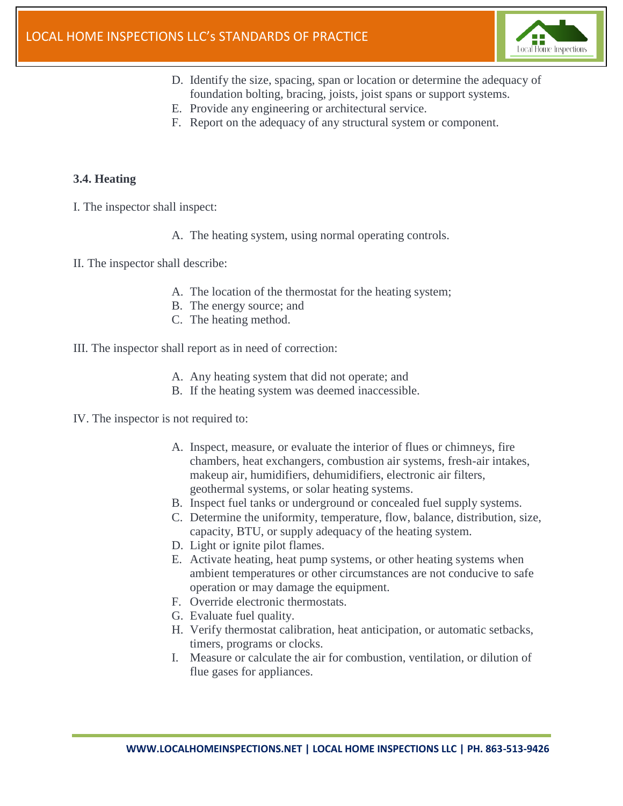

- D. Identify the size, spacing, span or location or determine the adequacy of foundation bolting, bracing, joists, joist spans or support systems.
- E. Provide any engineering or architectural service.
- F. Report on the adequacy of any structural system or component.

#### **3.4. Heating**

- I. The inspector shall inspect:
	- A. The heating system, using normal operating controls.
- II. The inspector shall describe:
	- A. The location of the thermostat for the heating system;
	- B. The energy source; and
	- C. The heating method.
- III. The inspector shall report as in need of correction:
	- A. Any heating system that did not operate; and
	- B. If the heating system was deemed inaccessible.
- IV. The inspector is not required to:
	- A. Inspect, measure, or evaluate the interior of flues or chimneys, fire chambers, heat exchangers, combustion air systems, fresh-air intakes, makeup air, humidifiers, dehumidifiers, electronic air filters, geothermal systems, or solar heating systems.
	- B. Inspect fuel tanks or underground or concealed fuel supply systems.
	- C. Determine the uniformity, temperature, flow, balance, distribution, size, capacity, BTU, or supply adequacy of the heating system.
	- D. Light or ignite pilot flames.
	- E. Activate heating, heat pump systems, or other heating systems when ambient temperatures or other circumstances are not conducive to safe operation or may damage the equipment.
	- F. Override electronic thermostats.
	- G. Evaluate fuel quality.
	- H. Verify thermostat calibration, heat anticipation, or automatic setbacks, timers, programs or clocks.
	- I. Measure or calculate the air for combustion, ventilation, or dilution of flue gases for appliances.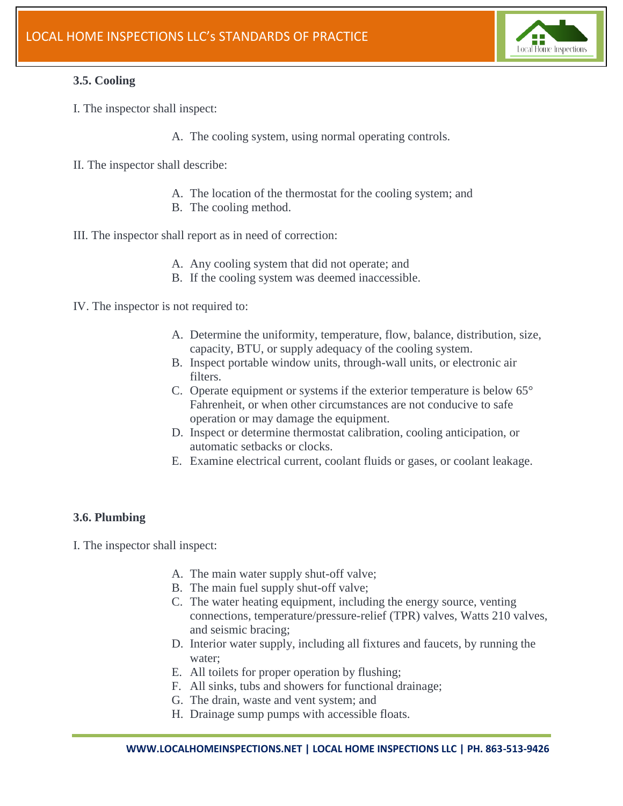

#### **3.5. Cooling**

- I. The inspector shall inspect:
	- A. The cooling system, using normal operating controls.
- II. The inspector shall describe:
	- A. The location of the thermostat for the cooling system; and
	- B. The cooling method.
- III. The inspector shall report as in need of correction:
	- A. Any cooling system that did not operate; and
	- B. If the cooling system was deemed inaccessible.

IV. The inspector is not required to:

- A. Determine the uniformity, temperature, flow, balance, distribution, size, capacity, BTU, or supply adequacy of the cooling system.
- B. Inspect portable window units, through-wall units, or electronic air filters.
- C. Operate equipment or systems if the exterior temperature is below 65° Fahrenheit, or when other circumstances are not conducive to safe operation or may damage the equipment.
- D. Inspect or determine thermostat calibration, cooling anticipation, or automatic setbacks or clocks.
- E. Examine electrical current, coolant fluids or gases, or coolant leakage.

#### **3.6. Plumbing**

- A. The main water supply shut-off valve;
- B. The main fuel supply shut-off valve;
- C. The water heating equipment, including the energy source, venting connections, temperature/pressure-relief (TPR) valves, Watts 210 valves, and seismic bracing;
- D. Interior water supply, including all fixtures and faucets, by running the water;
- E. All toilets for proper operation by flushing;
- F. All sinks, tubs and showers for functional drainage;
- G. The drain, waste and vent system; and
- H. Drainage sump pumps with accessible floats.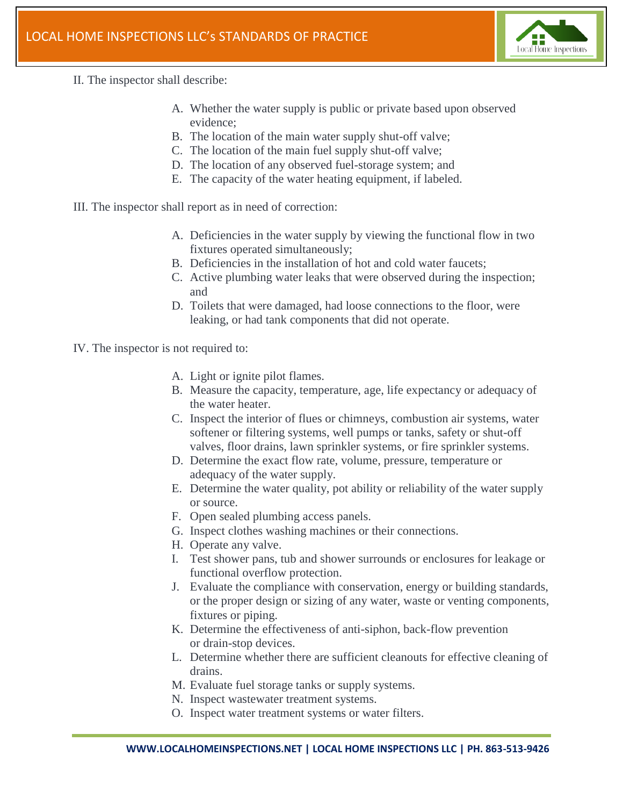

- II. The inspector shall describe:
	- A. Whether the water supply is public or private based upon observed evidence;
	- B. The location of the main water supply shut-off valve;
	- C. The location of the main fuel supply shut-off valve;
	- D. The location of any observed fuel-storage system; and
	- E. The capacity of the water heating equipment, if labeled.
- III. The inspector shall report as in need of correction:
	- A. Deficiencies in the water supply by viewing the functional flow in two fixtures operated simultaneously;
	- B. Deficiencies in the installation of hot and cold water faucets;
	- C. Active plumbing water leaks that were observed during the inspection; and
	- D. Toilets that were damaged, had loose connections to the floor, were leaking, or had tank components that did not operate.
- IV. The inspector is not required to:
	- A. Light or ignite pilot flames.
	- B. Measure the capacity, temperature, age, life expectancy or adequacy of the water heater.
	- C. Inspect the interior of flues or chimneys, combustion air systems, water softener or filtering systems, well pumps or tanks, safety or shut-off valves, floor drains, lawn sprinkler systems, or fire sprinkler systems.
	- D. Determine the exact flow rate, volume, pressure, temperature or adequacy of the water supply.
	- E. Determine the water quality, pot ability or reliability of the water supply or source.
	- F. Open sealed plumbing access panels.
	- G. Inspect clothes washing machines or their connections.
	- H. Operate any valve.
	- I. Test shower pans, tub and shower surrounds or enclosures for leakage or functional overflow protection.
	- J. Evaluate the compliance with conservation, energy or building standards, or the proper design or sizing of any water, waste or venting components, fixtures or piping.
	- K. Determine the effectiveness of anti-siphon, back-flow prevention or drain-stop devices.
	- L. Determine whether there are sufficient cleanouts for effective cleaning of drains.
	- M. Evaluate fuel storage tanks or supply systems.
	- N. Inspect wastewater treatment systems.
	- O. Inspect water treatment systems or water filters.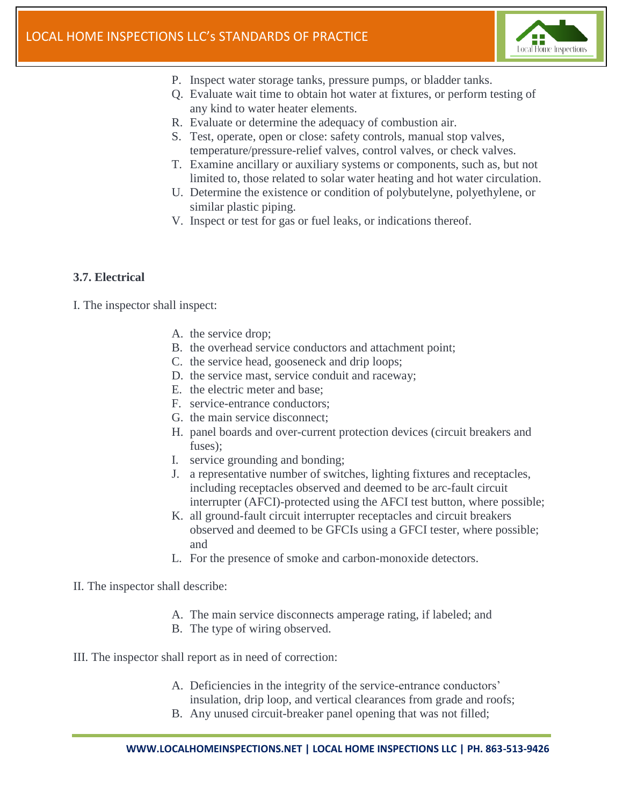

- P. Inspect water storage tanks, pressure pumps, or bladder tanks.
- Q. Evaluate wait time to obtain hot water at fixtures, or perform testing of any kind to water heater elements.
- R. Evaluate or determine the adequacy of combustion air.
- S. Test, operate, open or close: safety controls, manual stop valves, temperature/pressure-relief valves, control valves, or check valves.
- T. Examine ancillary or auxiliary systems or components, such as, but not limited to, those related to solar water heating and hot water circulation.
- U. Determine the existence or condition of polybutelyne, polyethylene, or similar plastic piping.
- V. Inspect or test for gas or fuel leaks, or indications thereof.

#### **3.7. Electrical**

I. The inspector shall inspect:

- A. the service drop;
- B. the overhead service conductors and attachment point;
- C. the service head, gooseneck and drip loops;
- D. the service mast, service conduit and raceway;
- E. the electric meter and base;
- F. service-entrance conductors;
- G. the main service disconnect;
- H. panel boards and over-current protection devices (circuit breakers and fuses);
- I. service grounding and bonding;
- J. a representative number of switches, lighting fixtures and receptacles, including receptacles observed and deemed to be arc-fault circuit interrupter (AFCI)-protected using the AFCI test button, where possible;
- K. all ground-fault circuit interrupter receptacles and circuit breakers observed and deemed to be GFCIs using a GFCI tester, where possible; and
- L. For the presence of smoke and carbon-monoxide detectors.

#### II. The inspector shall describe:

- A. The main service disconnects amperage rating, if labeled; and
- B. The type of wiring observed.

III. The inspector shall report as in need of correction:

- A. Deficiencies in the integrity of the service-entrance conductors' insulation, drip loop, and vertical clearances from grade and roofs;
- B. Any unused circuit-breaker panel opening that was not filled;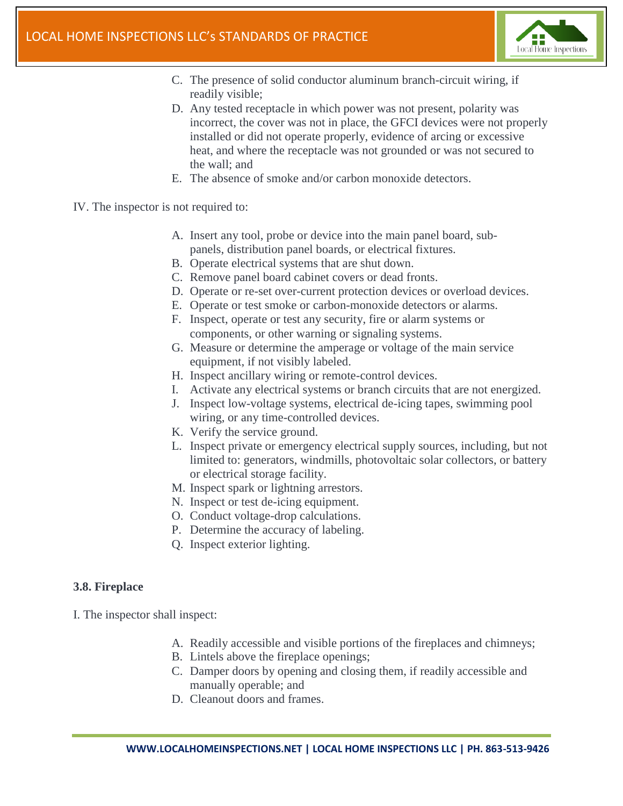

- C. The presence of solid conductor aluminum branch-circuit wiring, if readily visible;
- D. Any tested receptacle in which power was not present, polarity was incorrect, the cover was not in place, the GFCI devices were not properly installed or did not operate properly, evidence of arcing or excessive heat, and where the receptacle was not grounded or was not secured to the wall; and
- E. The absence of smoke and/or carbon monoxide detectors.
- IV. The inspector is not required to:
	- A. Insert any tool, probe or device into the main panel board, subpanels, distribution panel boards, or electrical fixtures.
	- B. Operate electrical systems that are shut down.
	- C. Remove panel board cabinet covers or dead fronts.
	- D. Operate or re-set over-current protection devices or overload devices.
	- E. Operate or test smoke or carbon-monoxide detectors or alarms.
	- F. Inspect, operate or test any security, fire or alarm systems or components, or other warning or signaling systems.
	- G. Measure or determine the amperage or voltage of the main service equipment, if not visibly labeled.
	- H. Inspect ancillary wiring or remote-control devices.
	- I. Activate any electrical systems or branch circuits that are not energized.
	- J. Inspect low-voltage systems, electrical de-icing tapes, swimming pool wiring, or any time-controlled devices.
	- K. Verify the service ground.
	- L. Inspect private or emergency electrical supply sources, including, but not limited to: generators, windmills, photovoltaic solar collectors, or battery or electrical storage facility.
	- M. Inspect spark or lightning arrestors.
	- N. Inspect or test de-icing equipment.
	- O. Conduct voltage-drop calculations.
	- P. Determine the accuracy of labeling.
	- Q. Inspect exterior lighting.

#### **3.8. Fireplace**

- A. Readily accessible and visible portions of the fireplaces and chimneys;
- B. Lintels above the fireplace openings;
- C. Damper doors by opening and closing them, if readily accessible and manually operable; and
- D. Cleanout doors and frames.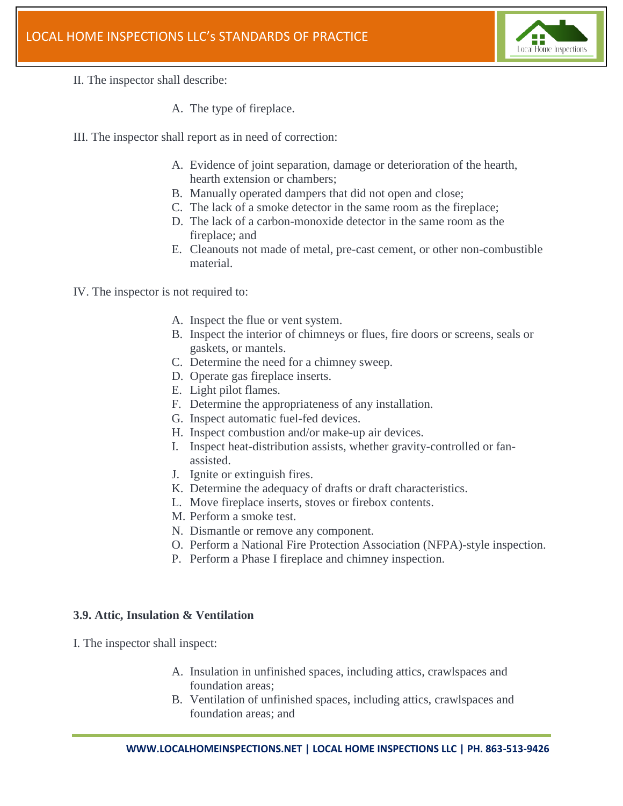

- II. The inspector shall describe:
	- A. The type of fireplace.
- III. The inspector shall report as in need of correction:
	- A. Evidence of joint separation, damage or deterioration of the hearth, hearth extension or chambers;
	- B. Manually operated dampers that did not open and close;
	- C. The lack of a smoke detector in the same room as the fireplace;
	- D. The lack of a carbon-monoxide detector in the same room as the fireplace; and
	- E. Cleanouts not made of metal, pre-cast cement, or other non-combustible material.

IV. The inspector is not required to:

- A. Inspect the flue or vent system.
- B. Inspect the interior of chimneys or flues, fire doors or screens, seals or gaskets, or mantels.
- C. Determine the need for a chimney sweep.
- D. Operate gas fireplace inserts.
- E. Light pilot flames.
- F. Determine the appropriateness of any installation.
- G. Inspect automatic fuel-fed devices.
- H. Inspect combustion and/or make-up air devices.
- I. Inspect heat-distribution assists, whether gravity-controlled or fanassisted.
- J. Ignite or extinguish fires.
- K. Determine the adequacy of drafts or draft characteristics.
- L. Move fireplace inserts, stoves or firebox contents.
- M. Perform a smoke test.
- N. Dismantle or remove any component.
- O. Perform a National Fire Protection Association (NFPA)-style inspection.
- P. Perform a Phase I fireplace and chimney inspection.

#### **3.9. Attic, Insulation & Ventilation**

- A. Insulation in unfinished spaces, including attics, crawlspaces and foundation areas;
- B. Ventilation of unfinished spaces, including attics, crawlspaces and foundation areas; and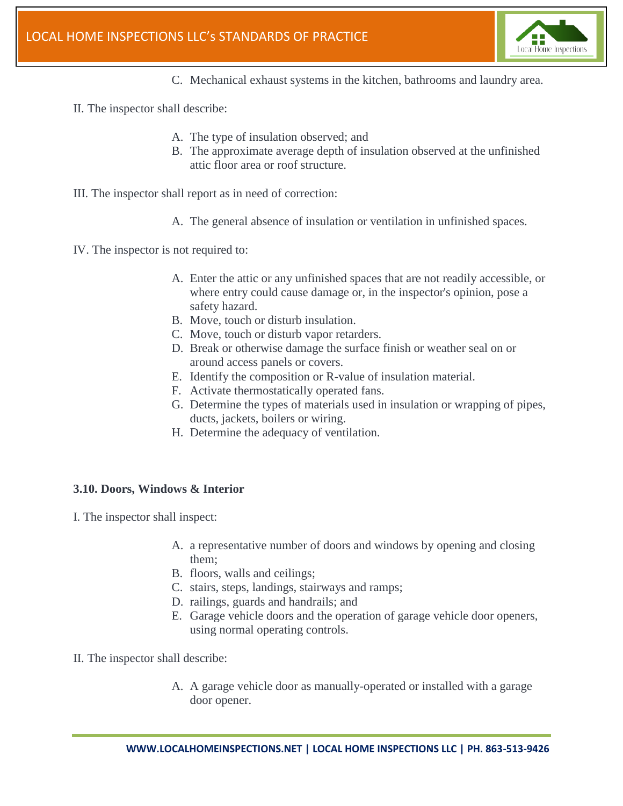

- C. Mechanical exhaust systems in the kitchen, bathrooms and laundry area.
- II. The inspector shall describe:
	- A. The type of insulation observed; and
	- B. The approximate average depth of insulation observed at the unfinished attic floor area or roof structure.
- III. The inspector shall report as in need of correction:
	- A. The general absence of insulation or ventilation in unfinished spaces.
- IV. The inspector is not required to:
	- A. Enter the attic or any unfinished spaces that are not readily accessible, or where entry could cause damage or, in the inspector's opinion, pose a safety hazard.
	- B. Move, touch or disturb insulation.
	- C. Move, touch or disturb vapor retarders.
	- D. Break or otherwise damage the surface finish or weather seal on or around access panels or covers.
	- E. Identify the composition or R-value of insulation material.
	- F. Activate thermostatically operated fans.
	- G. Determine the types of materials used in insulation or wrapping of pipes, ducts, jackets, boilers or wiring.
	- H. Determine the adequacy of ventilation.

#### **3.10. Doors, Windows & Interior**

- A. a representative number of doors and windows by opening and closing them;
- B. floors, walls and ceilings;
- C. stairs, steps, landings, stairways and ramps;
- D. railings, guards and handrails; and
- E. Garage vehicle doors and the operation of garage vehicle door openers, using normal operating controls.
- II. The inspector shall describe:
	- A. A garage vehicle door as manually-operated or installed with a garage door opener.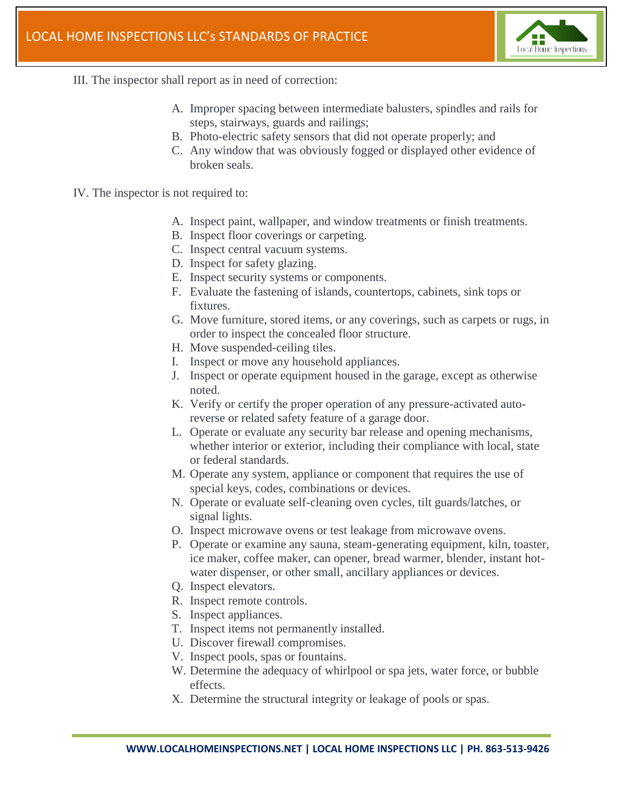

- III. The inspector shall report as in need of correction:
	- A. Improper spacing between intermediate balusters, spindles and rails for steps, stairways, guards and railings;
	- B. Photo-electric safety sensors that did not operate properly; and
	- C. Any window that was obviously fogged or displayed other evidence of broken seals.
- IV. The inspector is not required to:
	- A. Inspect paint, wallpaper, and window treatments or finish treatments.
	- B. Inspect floor coverings or carpeting.
	- C. Inspect central vacuum systems.
	- D. Inspect for safety glazing.
	- E. Inspect security systems or components.
	- F. Evaluate the fastening of islands, countertops, cabinets, sink tops or fixtures.
	- G. Move furniture, stored items, or any coverings, such as carpets or rugs, in order to inspect the concealed floor structure.
	- H. Move suspended-ceiling tiles.
	- I. Inspect or move any household appliances.
	- J. Inspect or operate equipment housed in the garage, except as otherwise noted.
	- K. Verify or certify the proper operation of any pressure-activated autoreverse or related safety feature of a garage door.
	- L. Operate or evaluate any security bar release and opening mechanisms, whether interior or exterior, including their compliance with local, state or federal standards.
	- M. Operate any system, appliance or component that requires the use of special keys, codes, combinations or devices.
	- N. Operate or evaluate self-cleaning oven cycles, tilt guards/latches, or signal lights.
	- O. Inspect microwave ovens or test leakage from microwave ovens.
	- P. Operate or examine any sauna, steam-generating equipment, kiln, toaster, ice maker, coffee maker, can opener, bread warmer, blender, instant hotwater dispenser, or other small, ancillary appliances or devices.
	- Q. Inspect elevators.
	- R. Inspect remote controls.
	- S. Inspect appliances.
	- T. Inspect items not permanently installed.
	- U. Discover firewall compromises.
	- V. Inspect pools, spas or fountains.
	- W. Determine the adequacy of whirlpool or spa jets, water force, or bubble effects.
	- X. Determine the structural integrity or leakage of pools or spas.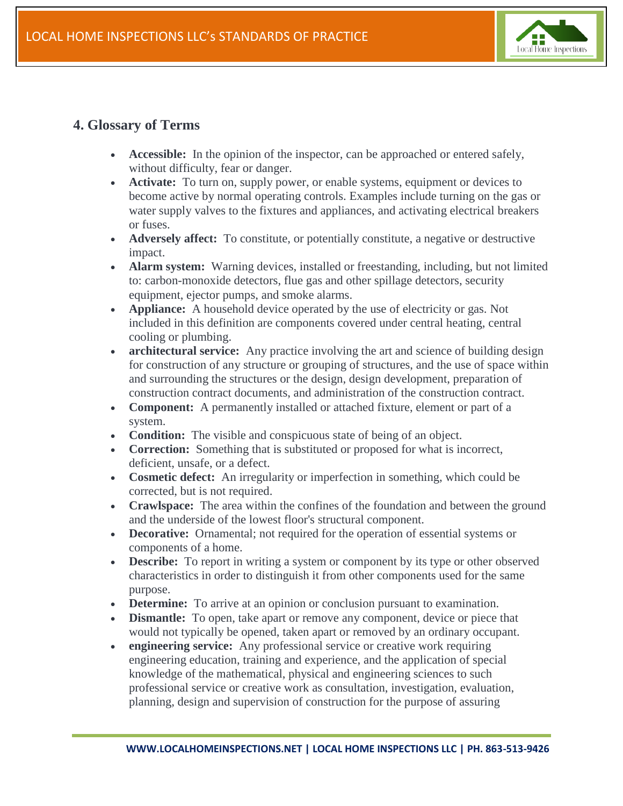

# **4. Glossary of Terms**

- **Accessible:** In the opinion of the inspector, can be approached or entered safely, without difficulty, fear or danger.
- **Activate:** To turn on, supply power, or enable systems, equipment or devices to become active by normal operating controls. Examples include turning on the gas or water supply valves to the fixtures and appliances, and activating electrical breakers or fuses.
- **Adversely affect:** To constitute, or potentially constitute, a negative or destructive impact.
- **Alarm system:** Warning devices, installed or freestanding, including, but not limited to: carbon-monoxide detectors, flue gas and other spillage detectors, security equipment, ejector pumps, and smoke alarms.
- **Appliance:** A household device operated by the use of electricity or gas. Not included in this definition are components covered under central heating, central cooling or plumbing.
- **architectural service:** Any practice involving the art and science of building design for construction of any structure or grouping of structures, and the use of space within and surrounding the structures or the design, design development, preparation of construction contract documents, and administration of the construction contract.
- **Component:** A permanently installed or attached fixture, element or part of a system.
- **Condition:** The visible and conspicuous state of being of an object.
- **Correction:** Something that is substituted or proposed for what is incorrect, deficient, unsafe, or a defect.
- **Cosmetic defect:** An irregularity or imperfection in something, which could be corrected, but is not required.
- **Crawlspace:** The area within the confines of the foundation and between the ground and the underside of the lowest floor's structural component.
- **Decorative:** Ornamental; not required for the operation of essential systems or components of a home.
- **Describe:** To report in writing a system or component by its type or other observed characteristics in order to distinguish it from other components used for the same purpose.
- **Determine:** To arrive at an opinion or conclusion pursuant to examination.
- **Dismantle:** To open, take apart or remove any component, device or piece that would not typically be opened, taken apart or removed by an ordinary occupant.
- **engineering service:** Any professional service or creative work requiring engineering education, training and experience, and the application of special knowledge of the mathematical, physical and engineering sciences to such professional service or creative work as consultation, investigation, evaluation, planning, design and supervision of construction for the purpose of assuring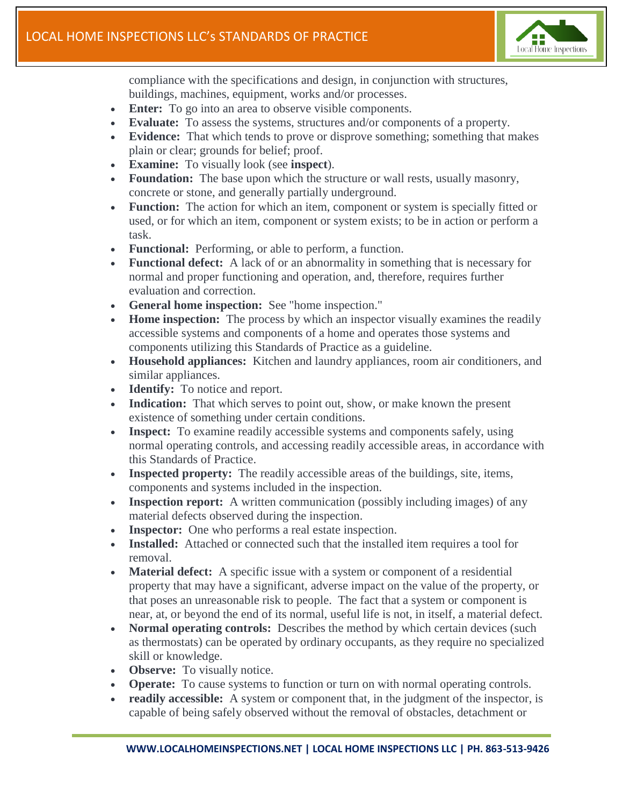

compliance with the specifications and design, in conjunction with structures, buildings, machines, equipment, works and/or processes.

- **Enter:** To go into an area to observe visible components.
- **Evaluate:** To assess the systems, structures and/or components of a property.
- **Evidence:** That which tends to prove or disprove something; something that makes plain or clear; grounds for belief; proof.
- **Examine:** To visually look (see **inspect**).
- **Foundation:** The base upon which the structure or wall rests, usually masonry, concrete or stone, and generally partially underground.
- **Function:** The action for which an item, component or system is specially fitted or used, or for which an item, component or system exists; to be in action or perform a task.
- **Functional:** Performing, or able to perform, a function.
- **Functional defect:** A lack of or an abnormality in something that is necessary for normal and proper functioning and operation, and, therefore, requires further evaluation and correction.
- **General home inspection:** See "home inspection."
- **Home inspection:** The process by which an inspector visually examines the readily accessible systems and components of a home and operates those systems and components utilizing this Standards of Practice as a guideline.
- **Household appliances:** Kitchen and laundry appliances, room air conditioners, and similar appliances.
- **Identify:** To notice and report.
- **Indication:** That which serves to point out, show, or make known the present existence of something under certain conditions.
- **Inspect:** To examine readily accessible systems and components safely, using normal operating controls, and accessing readily accessible areas, in accordance with this Standards of Practice.
- **Inspected property:** The readily accessible areas of the buildings, site, items, components and systems included in the inspection.
- **Inspection report:** A written communication (possibly including images) of any material defects observed during the inspection.
- **Inspector:** One who performs a real estate inspection.
- **Installed:** Attached or connected such that the installed item requires a tool for removal.
- **Material defect:** A specific issue with a system or component of a residential property that may have a significant, adverse impact on the value of the property, or that poses an unreasonable risk to people. The fact that a system or component is near, at, or beyond the end of its normal, useful life is not, in itself, a material defect.
- **Normal operating controls:** Describes the method by which certain devices (such as thermostats) can be operated by ordinary occupants, as they require no specialized skill or knowledge.
- **Observe:** To visually notice.
- **Operate:** To cause systems to function or turn on with normal operating controls.
- **readily accessible:** A system or component that, in the judgment of the inspector, is capable of being safely observed without the removal of obstacles, detachment or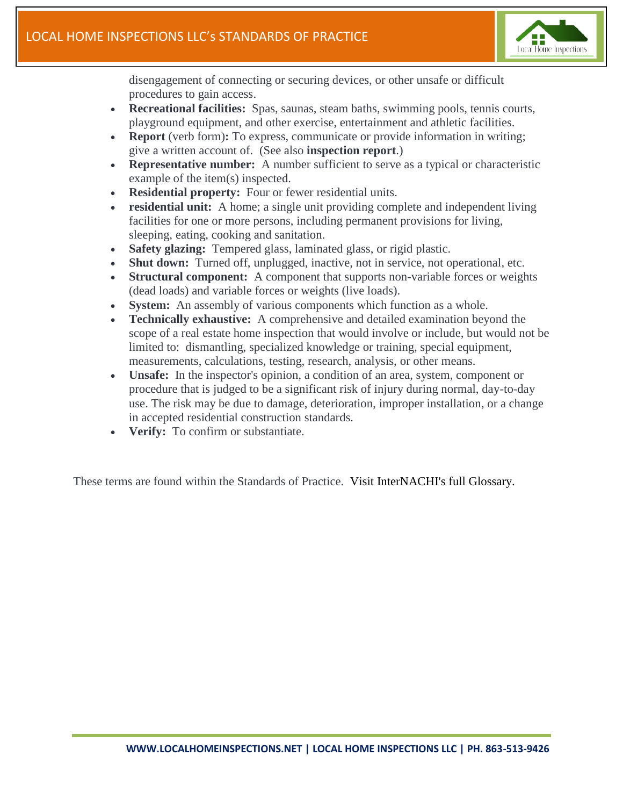

disengagement of connecting or securing devices, or other unsafe or difficult procedures to gain access.

- **Recreational facilities:** Spas, saunas, steam baths, swimming pools, tennis courts, playground equipment, and other exercise, entertainment and athletic facilities.
- **Report** (verb form)**:** To express, communicate or provide information in writing; give a written account of. (See also **inspection report**.)
- **Representative number:** A number sufficient to serve as a typical or characteristic example of the item(s) inspected.
- **Residential property:** Four or fewer residential units.
- **residential unit:** A home; a single unit providing complete and independent living facilities for one or more persons, including permanent provisions for living, sleeping, eating, cooking and sanitation.
- **Safety glazing:** Tempered glass, laminated glass, or rigid plastic.
- **Shut down:** Turned off, unplugged, inactive, not in service, not operational, etc.
- **Structural component:** A component that supports non-variable forces or weights (dead loads) and variable forces or weights (live loads).
- **System:** An assembly of various components which function as a whole.
- **Technically exhaustive:** A comprehensive and detailed examination beyond the scope of a real estate home inspection that would involve or include, but would not be limited to: dismantling, specialized knowledge or training, special equipment, measurements, calculations, testing, research, analysis, or other means.
- **Unsafe:** In the inspector's opinion, a condition of an area, system, component or procedure that is judged to be a significant risk of injury during normal, day-to-day use. The risk may be due to damage, deterioration, improper installation, or a change in accepted residential construction standards.
- **Verify:** To confirm or substantiate.

These terms are found within the Standards of Practice. [Visit InterNACHI's full Glossary.](https://www.nachi.org/glossary.htm)